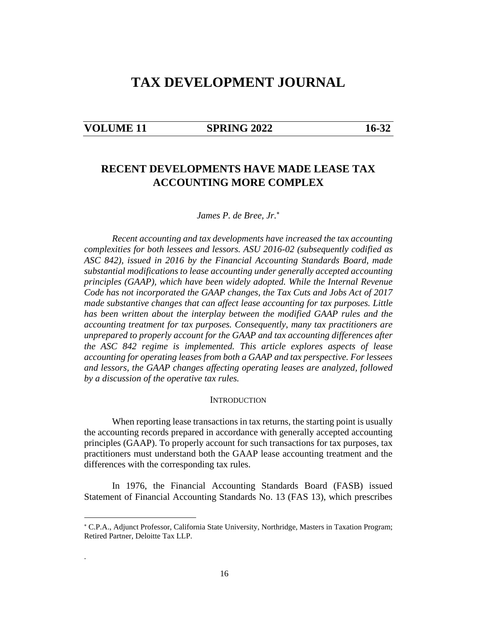# **TAX DEVELOPMENT JOURNAL**

| <b>VOLUME 11</b> |  |
|------------------|--|
|------------------|--|

.

## **SPRING 2022** 16-32

## **RECENT DEVELOPMENTS HAVE MADE LEASE TAX ACCOUNTING MORE COMPLEX**

*James P. de Bree, Jr.*

*Recent accounting and tax developments have increased the tax accounting complexities for both lessees and lessors. ASU 2016-02 (subsequently codified as ASC 842), issued in 2016 by the Financial Accounting Standards Board, made substantial modifications to lease accounting under generally accepted accounting principles (GAAP), which have been widely adopted. While the Internal Revenue Code has not incorporated the GAAP changes, the Tax Cuts and Jobs Act of 2017 made substantive changes that can affect lease accounting for tax purposes. Little has been written about the interplay between the modified GAAP rules and the accounting treatment for tax purposes. Consequently, many tax practitioners are unprepared to properly account for the GAAP and tax accounting differences after the ASC 842 regime is implemented. This article explores aspects of lease accounting for operating leases from both a GAAP and tax perspective. For lessees and lessors, the GAAP changes affecting operating leases are analyzed, followed by a discussion of the operative tax rules.* 

#### **INTRODUCTION**

When reporting lease transactions in tax returns, the starting point is usually the accounting records prepared in accordance with generally accepted accounting principles (GAAP). To properly account for such transactions for tax purposes, tax practitioners must understand both the GAAP lease accounting treatment and the differences with the corresponding tax rules.

In 1976, the Financial Accounting Standards Board (FASB) issued Statement of Financial Accounting Standards No. 13 (FAS 13), which prescribes

 C.P.A., Adjunct Professor, California State University, Northridge, Masters in Taxation Program; Retired Partner, Deloitte Tax LLP.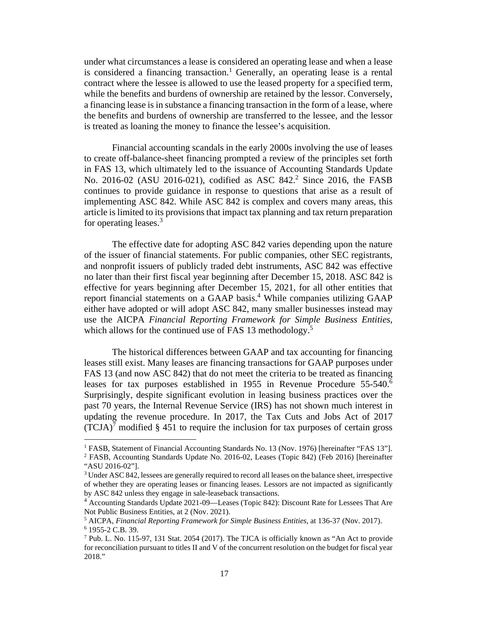under what circumstances a lease is considered an operating lease and when a lease is considered a financing transaction.<sup>1</sup> Generally, an operating lease is a rental contract where the lessee is allowed to use the leased property for a specified term, while the benefits and burdens of ownership are retained by the lessor. Conversely, a financing lease is in substance a financing transaction in the form of a lease, where the benefits and burdens of ownership are transferred to the lessee, and the lessor is treated as loaning the money to finance the lessee's acquisition.

Financial accounting scandals in the early 2000s involving the use of leases to create off-balance-sheet financing prompted a review of the principles set forth in FAS 13, which ultimately led to the issuance of Accounting Standards Update No. 2016-02 (ASU 2016-021), codified as ASC 842.<sup>2</sup> Since 2016, the FASB continues to provide guidance in response to questions that arise as a result of implementing ASC 842. While ASC 842 is complex and covers many areas, this article is limited to its provisions that impact tax planning and tax return preparation for operating leases.<sup>3</sup>

The effective date for adopting ASC 842 varies depending upon the nature of the issuer of financial statements. For public companies, other SEC registrants, and nonprofit issuers of publicly traded debt instruments, ASC 842 was effective no later than their first fiscal year beginning after December 15, 2018. ASC 842 is effective for years beginning after December 15, 2021, for all other entities that report financial statements on a GAAP basis.<sup>4</sup> While companies utilizing GAAP either have adopted or will adopt ASC 842, many smaller businesses instead may use the AICPA *Financial Reporting Framework for Simple Business Entities*, which allows for the continued use of FAS 13 methodology.<sup>5</sup>

The historical differences between GAAP and tax accounting for financing leases still exist. Many leases are financing transactions for GAAP purposes under FAS 13 (and now ASC 842) that do not meet the criteria to be treated as financing leases for tax purposes established in 1955 in Revenue Procedure 55-540.<sup>6</sup> Surprisingly, despite significant evolution in leasing business practices over the past 70 years, the Internal Revenue Service (IRS) has not shown much interest in updating the revenue procedure. In 2017, the Tax Cuts and Jobs Act of 2017  $(TCIA)^7$  modified § 451 to require the inclusion for tax purposes of certain gross

<sup>&</sup>lt;sup>1</sup> FASB, Statement of Financial Accounting Standards No. 13 (Nov. 1976) [hereinafter "FAS 13"].

<sup>&</sup>lt;sup>2</sup> FASB, Accounting Standards Update No. 2016-02, Leases (Topic 842) (Feb 2016) [hereinafter "ASU 2016-02"].

<sup>&</sup>lt;sup>3</sup> Under ASC 842, lessees are generally required to record all leases on the balance sheet, irrespective of whether they are operating leases or financing leases. Lessors are not impacted as significantly by ASC 842 unless they engage in sale-leaseback transactions.

<sup>4</sup> Accounting Standards Update 2021-09—Leases (Topic 842): Discount Rate for Lessees That Are Not Public Business Entities, at 2 (Nov. 2021).

<sup>5</sup> AICPA, *Financial Reporting Framework for Simple Business Entities*, at 136-37 (Nov. 2017). 6 1955-2 C.B. 39.

<sup>&</sup>lt;sup>7</sup> Pub. L. No. 115-97, 131 Stat. 2054 (2017). The TJCA is officially known as "An Act to provide for reconciliation pursuant to titles II and V of the concurrent resolution on the budget for fiscal year 2018."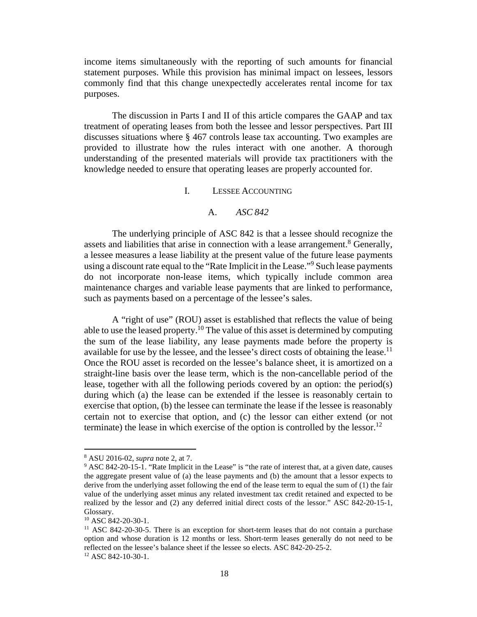income items simultaneously with the reporting of such amounts for financial statement purposes. While this provision has minimal impact on lessees, lessors commonly find that this change unexpectedly accelerates rental income for tax purposes.

The discussion in Parts I and II of this article compares the GAAP and tax treatment of operating leases from both the lessee and lessor perspectives. Part III discusses situations where § 467 controls lease tax accounting. Two examples are provided to illustrate how the rules interact with one another. A thorough understanding of the presented materials will provide tax practitioners with the knowledge needed to ensure that operating leases are properly accounted for.

I. LESSEE ACCOUNTING

A. *ASC 842* 

The underlying principle of ASC 842 is that a lessee should recognize the assets and liabilities that arise in connection with a lease arrangement.<sup>8</sup> Generally, a lessee measures a lease liability at the present value of the future lease payments using a discount rate equal to the "Rate Implicit in the Lease."<sup>9</sup> Such lease payments do not incorporate non-lease items, which typically include common area maintenance charges and variable lease payments that are linked to performance, such as payments based on a percentage of the lessee's sales.

A "right of use" (ROU) asset is established that reflects the value of being able to use the leased property.<sup>10</sup> The value of this asset is determined by computing the sum of the lease liability, any lease payments made before the property is available for use by the lessee, and the lessee's direct costs of obtaining the lease.<sup>11</sup> Once the ROU asset is recorded on the lessee's balance sheet, it is amortized on a straight-line basis over the lease term, which is the non-cancellable period of the lease, together with all the following periods covered by an option: the period(s) during which (a) the lease can be extended if the lessee is reasonably certain to exercise that option, (b) the lessee can terminate the lease if the lessee is reasonably certain not to exercise that option, and (c) the lessor can either extend (or not terminate) the lease in which exercise of the option is controlled by the lessor.<sup>12</sup>

<sup>8</sup> ASU 2016-02, *supra* note 2, at 7.

<sup>&</sup>lt;sup>9</sup> ASC 842-20-15-1. "Rate Implicit in the Lease" is "the rate of interest that, at a given date, causes the aggregate present value of (a) the lease payments and (b) the amount that a lessor expects to derive from the underlying asset following the end of the lease term to equal the sum of (1) the fair value of the underlying asset minus any related investment tax credit retained and expected to be realized by the lessor and (2) any deferred initial direct costs of the lessor." ASC 842-20-15-1, Glossary.

<sup>&</sup>lt;sup>10</sup> ASC 842-20-30-1.

<sup>&</sup>lt;sup>11</sup> ASC 842-20-30-5. There is an exception for short-term leases that do not contain a purchase option and whose duration is 12 months or less. Short-term leases generally do not need to be reflected on the lessee's balance sheet if the lessee so elects. ASC 842-20-25-2.

<sup>12</sup> ASC 842-10-30-1.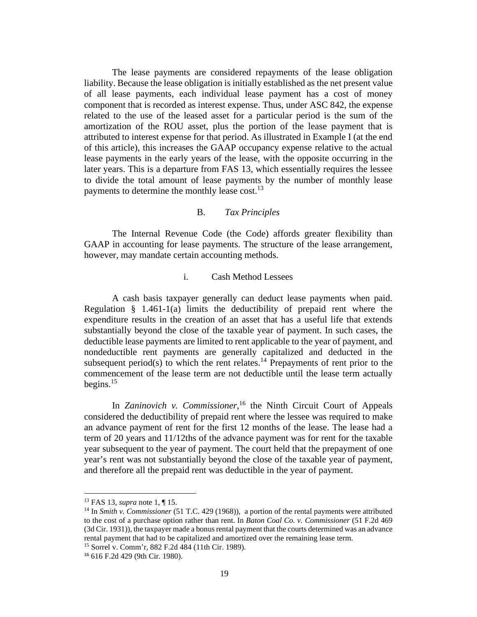The lease payments are considered repayments of the lease obligation liability. Because the lease obligation is initially established as the net present value of all lease payments, each individual lease payment has a cost of money component that is recorded as interest expense. Thus, under ASC 842, the expense related to the use of the leased asset for a particular period is the sum of the amortization of the ROU asset, plus the portion of the lease payment that is attributed to interest expense for that period. As illustrated in Example I (at the end of this article), this increases the GAAP occupancy expense relative to the actual lease payments in the early years of the lease, with the opposite occurring in the later years. This is a departure from FAS 13, which essentially requires the lessee to divide the total amount of lease payments by the number of monthly lease payments to determine the monthly lease cost.<sup>13</sup>

## B. *Tax Principles*

The Internal Revenue Code (the Code) affords greater flexibility than GAAP in accounting for lease payments. The structure of the lease arrangement, however, may mandate certain accounting methods.

### i. Cash Method Lessees

A cash basis taxpayer generally can deduct lease payments when paid. Regulation  $\S$  1.461-1(a) limits the deductibility of prepaid rent where the expenditure results in the creation of an asset that has a useful life that extends substantially beyond the close of the taxable year of payment. In such cases, the deductible lease payments are limited to rent applicable to the year of payment, and nondeductible rent payments are generally capitalized and deducted in the subsequent period(s) to which the rent relates.<sup>14</sup> Prepayments of rent prior to the commencement of the lease term are not deductible until the lease term actually begins. $15$ 

In *Zaninovich v. Commissioner*, <sup>16</sup> the Ninth Circuit Court of Appeals considered the deductibility of prepaid rent where the lessee was required to make an advance payment of rent for the first 12 months of the lease. The lease had a term of 20 years and 11/12ths of the advance payment was for rent for the taxable year subsequent to the year of payment. The court held that the prepayment of one year's rent was not substantially beyond the close of the taxable year of payment, and therefore all the prepaid rent was deductible in the year of payment.

<sup>13</sup> FAS 13, *supra* note 1, ¶ 15.

<sup>14</sup> In *Smith v. Commissioner* (51 T.C. 429 (1968)), a portion of the rental payments were attributed to the cost of a purchase option rather than rent. In *Baton Coal Co. v. Commissioner* (51 F.2d 469 (3d Cir. 1931)), the taxpayer made a bonus rental payment that the courts determined was an advance rental payment that had to be capitalized and amortized over the remaining lease term.

<sup>15</sup> Sorrel v. Comm'r, 882 F.2d 484 (11th Cir. 1989).

<sup>16</sup> 616 F.2d 429 (9th Cir. 1980).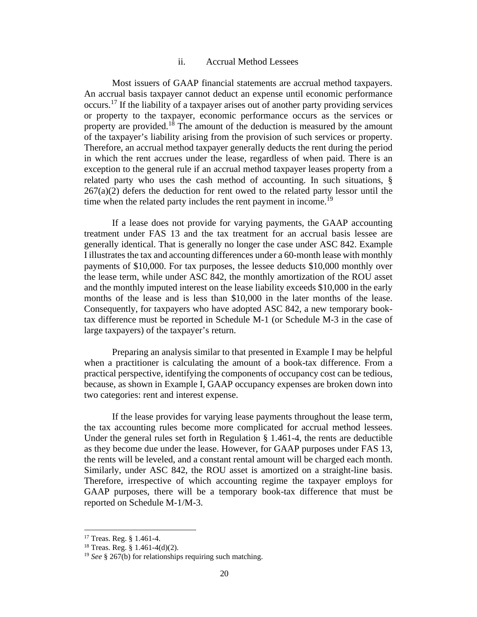## ii. Accrual Method Lessees

Most issuers of GAAP financial statements are accrual method taxpayers. An accrual basis taxpayer cannot deduct an expense until economic performance occurs.<sup>17</sup> If the liability of a taxpayer arises out of another party providing services or property to the taxpayer, economic performance occurs as the services or property are provided.<sup>18</sup> The amount of the deduction is measured by the amount of the taxpayer's liability arising from the provision of such services or property. Therefore, an accrual method taxpayer generally deducts the rent during the period in which the rent accrues under the lease, regardless of when paid. There is an exception to the general rule if an accrual method taxpayer leases property from a related party who uses the cash method of accounting. In such situations, §  $267(a)(2)$  defers the deduction for rent owed to the related party lessor until the time when the related party includes the rent payment in income.<sup>19</sup>

If a lease does not provide for varying payments, the GAAP accounting treatment under FAS 13 and the tax treatment for an accrual basis lessee are generally identical. That is generally no longer the case under ASC 842. Example I illustrates the tax and accounting differences under a 60-month lease with monthly payments of \$10,000. For tax purposes, the lessee deducts \$10,000 monthly over the lease term, while under ASC 842, the monthly amortization of the ROU asset and the monthly imputed interest on the lease liability exceeds \$10,000 in the early months of the lease and is less than \$10,000 in the later months of the lease. Consequently, for taxpayers who have adopted ASC 842, a new temporary booktax difference must be reported in Schedule M-1 (or Schedule M-3 in the case of large taxpayers) of the taxpayer's return.

Preparing an analysis similar to that presented in Example I may be helpful when a practitioner is calculating the amount of a book-tax difference. From a practical perspective, identifying the components of occupancy cost can be tedious, because, as shown in Example I, GAAP occupancy expenses are broken down into two categories: rent and interest expense.

If the lease provides for varying lease payments throughout the lease term, the tax accounting rules become more complicated for accrual method lessees. Under the general rules set forth in Regulation  $\S 1.461-4$ , the rents are deductible as they become due under the lease. However, for GAAP purposes under FAS 13, the rents will be leveled, and a constant rental amount will be charged each month. Similarly, under ASC 842, the ROU asset is amortized on a straight-line basis. Therefore, irrespective of which accounting regime the taxpayer employs for GAAP purposes, there will be a temporary book-tax difference that must be reported on Schedule M-1/M-3.

<sup>17</sup> Treas. Reg. § 1.461-4.

 $18$  Treas. Reg. § 1.461-4(d)(2).

<sup>19</sup> *See* § 267(b) for relationships requiring such matching.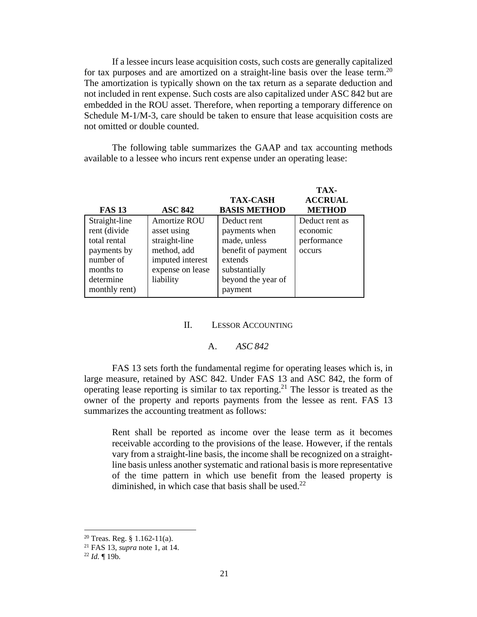If a lessee incurs lease acquisition costs, such costs are generally capitalized for tax purposes and are amortized on a straight-line basis over the lease term.<sup>20</sup> The amortization is typically shown on the tax return as a separate deduction and not included in rent expense. Such costs are also capitalized under ASC 842 but are embedded in the ROU asset. Therefore, when reporting a temporary difference on Schedule M-1/M-3, care should be taken to ensure that lease acquisition costs are not omitted or double counted.

The following table summarizes the GAAP and tax accounting methods available to a lessee who incurs rent expense under an operating lease:

|               |                  |                     | TAX-           |
|---------------|------------------|---------------------|----------------|
|               |                  | <b>TAX-CASH</b>     | <b>ACCRUAL</b> |
| <b>FAS 13</b> | <b>ASC 842</b>   | <b>BASIS METHOD</b> | <b>METHOD</b>  |
| Straight-line | Amortize ROU     | Deduct rent         | Deduct rent as |
| rent (divide  | asset using      | payments when       | economic       |
| total rental  | straight-line    | made, unless        | performance    |
| payments by   | method, add      | benefit of payment  | occurs         |
| number of     | imputed interest | extends             |                |
| months to     | expense on lease | substantially       |                |
| determine     | liability        | beyond the year of  |                |
| monthly rent) |                  | payment             |                |

### II. LESSOR ACCOUNTING

### A. *ASC 842*

FAS 13 sets forth the fundamental regime for operating leases which is, in large measure, retained by ASC 842. Under FAS 13 and ASC 842, the form of operating lease reporting is similar to tax reporting.<sup>21</sup> The lessor is treated as the owner of the property and reports payments from the lessee as rent. FAS 13 summarizes the accounting treatment as follows:

Rent shall be reported as income over the lease term as it becomes receivable according to the provisions of the lease. However, if the rentals vary from a straight-line basis, the income shall be recognized on a straightline basis unless another systematic and rational basis is more representative of the time pattern in which use benefit from the leased property is diminished, in which case that basis shall be used.<sup>22</sup>

 $20$  Treas. Reg. § 1.162-11(a).

<sup>21</sup> FAS 13, *supra* note 1, at 14.

<sup>22</sup> *Id.* ¶ 19b.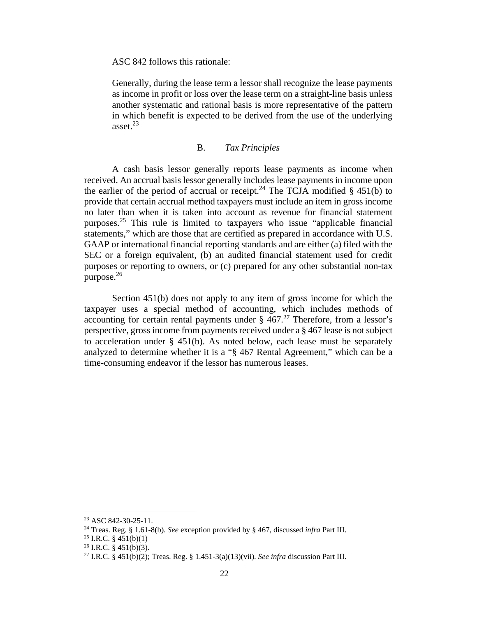ASC 842 follows this rationale:

Generally, during the lease term a lessor shall recognize the lease payments as income in profit or loss over the lease term on a straight-line basis unless another systematic and rational basis is more representative of the pattern in which benefit is expected to be derived from the use of the underlying asset. $23$ 

## B. *Tax Principles*

A cash basis lessor generally reports lease payments as income when received. An accrual basis lessor generally includes lease payments in income upon the earlier of the period of accrual or receipt.<sup>24</sup> The TCJA modified  $\S$  451(b) to provide that certain accrual method taxpayers must include an item in gross income no later than when it is taken into account as revenue for financial statement purposes.<sup>25</sup> This rule is limited to taxpayers who issue "applicable financial statements," which are those that are certified as prepared in accordance with U.S. GAAP or international financial reporting standards and are either (a) filed with the SEC or a foreign equivalent, (b) an audited financial statement used for credit purposes or reporting to owners, or (c) prepared for any other substantial non-tax purpose. $26$ 

Section 451(b) does not apply to any item of gross income for which the taxpayer uses a special method of accounting, which includes methods of accounting for certain rental payments under  $\frac{8}{9}$  467.<sup>27</sup> Therefore, from a lessor's perspective, gross income from payments received under a § 467 lease is not subject to acceleration under § 451(b). As noted below, each lease must be separately analyzed to determine whether it is a "§ 467 Rental Agreement," which can be a time-consuming endeavor if the lessor has numerous leases.

<sup>23</sup> ASC 842-30-25-11.

<sup>24</sup> Treas. Reg. § 1.61-8(b). *See* exception provided by § 467, discussed *infra* Part III.

<sup>&</sup>lt;sup>25</sup> I.R.C. §  $451(b)(1)$ 

 $26$  I.R.C. § 451(b)(3).

<sup>27</sup> I.R.C. § 451(b)(2); Treas. Reg. § 1.451-3(a)(13)(vii). *See infra* discussion Part III.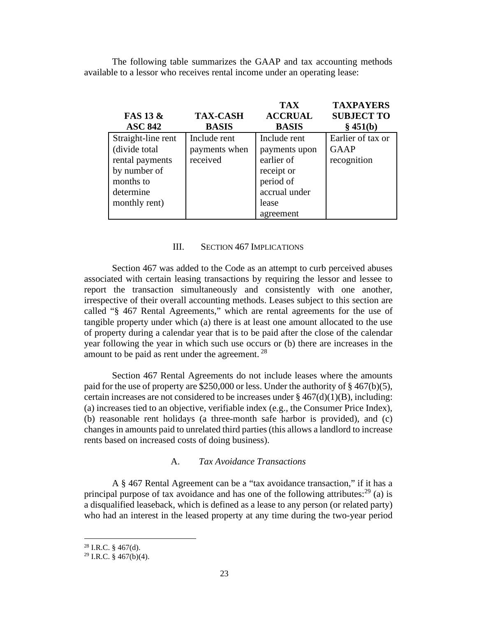The following table summarizes the GAAP and tax accounting methods available to a lessor who receives rental income under an operating lease:

|                     |                 | <b>TAX</b>     | <b>TAXPAYERS</b>  |
|---------------------|-----------------|----------------|-------------------|
| <b>FAS 13 &amp;</b> | <b>TAX-CASH</b> | <b>ACCRUAL</b> | <b>SUBJECT TO</b> |
| <b>ASC 842</b>      | <b>BASIS</b>    | <b>BASIS</b>   | § 451(b)          |
| Straight-line rent  | Include rent    | Include rent   | Earlier of tax or |
| (divide total       | payments when   | payments upon  | <b>GAAP</b>       |
| rental payments     | received        | earlier of     | recognition       |
| by number of        |                 | receipt or     |                   |
| months to           |                 | period of      |                   |
| determine           |                 | accrual under  |                   |
| monthly rent)       |                 | lease          |                   |
|                     |                 | agreement      |                   |

#### III. SECTION 467 IMPLICATIONS

Section 467 was added to the Code as an attempt to curb perceived abuses associated with certain leasing transactions by requiring the lessor and lessee to report the transaction simultaneously and consistently with one another, irrespective of their overall accounting methods. Leases subject to this section are called "§ 467 Rental Agreements," which are rental agreements for the use of tangible property under which (a) there is at least one amount allocated to the use of property during a calendar year that is to be paid after the close of the calendar year following the year in which such use occurs or (b) there are increases in the amount to be paid as rent under the agreement.  $28$ 

Section 467 Rental Agreements do not include leases where the amounts paid for the use of property are \$250,000 or less. Under the authority of § 467(b)(5), certain increases are not considered to be increases under  $\S 467(d)(1)(B)$ , including: (a) increases tied to an objective, verifiable index (e.g., the Consumer Price Index), (b) reasonable rent holidays (a three-month safe harbor is provided), and (c) changes in amounts paid to unrelated third parties (this allows a landlord to increase rents based on increased costs of doing business).

#### A. *Tax Avoidance Transactions*

A § 467 Rental Agreement can be a "tax avoidance transaction," if it has a principal purpose of tax avoidance and has one of the following attributes:<sup>29</sup> (a) is a disqualified leaseback, which is defined as a lease to any person (or related party) who had an interest in the leased property at any time during the two-year period

 $^{28}$  I.R.C. § 467(d).

 $29$  I.R.C. § 467(b)(4).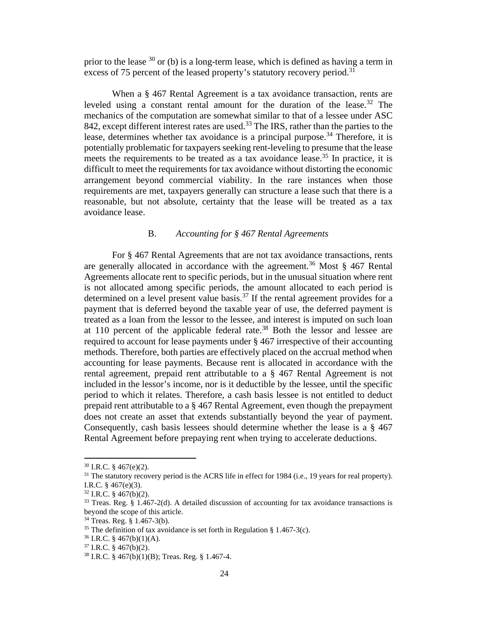prior to the lease  $30$  or (b) is a long-term lease, which is defined as having a term in excess of 75 percent of the leased property's statutory recovery period.<sup>31</sup>

When a § 467 Rental Agreement is a tax avoidance transaction, rents are leveled using a constant rental amount for the duration of the lease.<sup>32</sup> The mechanics of the computation are somewhat similar to that of a lessee under ASC 842, except different interest rates are used.<sup>33</sup> The IRS, rather than the parties to the lease, determines whether tax avoidance is a principal purpose.<sup>34</sup> Therefore, it is potentially problematic for taxpayers seeking rent-leveling to presume that the lease meets the requirements to be treated as a tax avoidance lease.<sup>35</sup> In practice, it is difficult to meet the requirements for tax avoidance without distorting the economic arrangement beyond commercial viability. In the rare instances when those requirements are met, taxpayers generally can structure a lease such that there is a reasonable, but not absolute, certainty that the lease will be treated as a tax avoidance lease.

### B. *Accounting for § 467 Rental Agreements*

For § 467 Rental Agreements that are not tax avoidance transactions, rents are generally allocated in accordance with the agreement.<sup>36</sup> Most  $\S$  467 Rental Agreements allocate rent to specific periods, but in the unusual situation where rent is not allocated among specific periods, the amount allocated to each period is determined on a level present value basis.<sup>37</sup> If the rental agreement provides for a payment that is deferred beyond the taxable year of use, the deferred payment is treated as a loan from the lessor to the lessee, and interest is imputed on such loan at 110 percent of the applicable federal rate.<sup>38</sup> Both the lessor and lessee are required to account for lease payments under § 467 irrespective of their accounting methods. Therefore, both parties are effectively placed on the accrual method when accounting for lease payments. Because rent is allocated in accordance with the rental agreement, prepaid rent attributable to a § 467 Rental Agreement is not included in the lessor's income, nor is it deductible by the lessee, until the specific period to which it relates. Therefore, a cash basis lessee is not entitled to deduct prepaid rent attributable to a § 467 Rental Agreement, even though the prepayment does not create an asset that extends substantially beyond the year of payment. Consequently, cash basis lessees should determine whether the lease is a § 467 Rental Agreement before prepaying rent when trying to accelerate deductions.

 $30$  I.R.C. § 467(e)(2).

<sup>&</sup>lt;sup>31</sup> The statutory recovery period is the ACRS life in effect for 1984 (i.e., 19 years for real property). I.R.C. § 467(e)(3).

 $32$  I.R.C. § 467(b)(2).

<sup>33</sup> Treas. Reg. § 1.467-2(d). A detailed discussion of accounting for tax avoidance transactions is beyond the scope of this article.

<sup>34</sup> Treas. Reg. § 1.467-3(b).

<sup>&</sup>lt;sup>35</sup> The definition of tax avoidance is set forth in Regulation § 1.467-3(c).

 $36$  I.R.C. § 467(b)(1)(A).

 $37$  I.R.C. § 467(b)(2).

<sup>38</sup> I.R.C. § 467(b)(1)(B); Treas. Reg. § 1.467-4.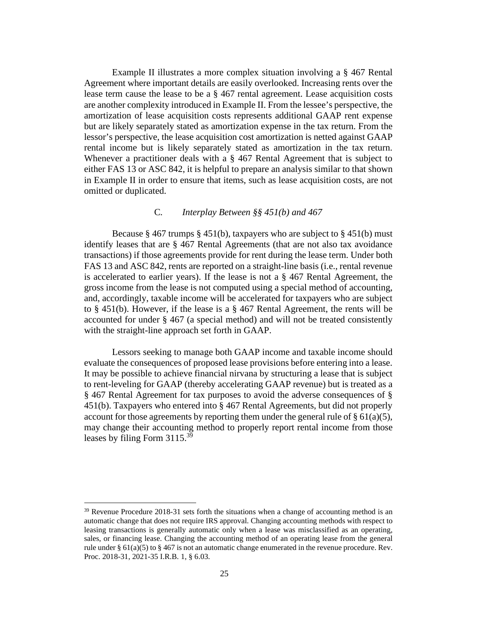Example II illustrates a more complex situation involving a § 467 Rental Agreement where important details are easily overlooked. Increasing rents over the lease term cause the lease to be a § 467 rental agreement. Lease acquisition costs are another complexity introduced in Example II. From the lessee's perspective, the amortization of lease acquisition costs represents additional GAAP rent expense but are likely separately stated as amortization expense in the tax return. From the lessor's perspective, the lease acquisition cost amortization is netted against GAAP rental income but is likely separately stated as amortization in the tax return. Whenever a practitioner deals with a § 467 Rental Agreement that is subject to either FAS 13 or ASC 842, it is helpful to prepare an analysis similar to that shown in Example II in order to ensure that items, such as lease acquisition costs, are not omitted or duplicated.

## C*. Interplay Between §§ 451(b) and 467*

Because § 467 trumps § 451(b), taxpayers who are subject to § 451(b) must identify leases that are § 467 Rental Agreements (that are not also tax avoidance transactions) if those agreements provide for rent during the lease term. Under both FAS 13 and ASC 842, rents are reported on a straight-line basis (i.e., rental revenue is accelerated to earlier years). If the lease is not a § 467 Rental Agreement, the gross income from the lease is not computed using a special method of accounting, and, accordingly, taxable income will be accelerated for taxpayers who are subject to § 451(b). However, if the lease is a § 467 Rental Agreement, the rents will be accounted for under § 467 (a special method) and will not be treated consistently with the straight-line approach set forth in GAAP.

Lessors seeking to manage both GAAP income and taxable income should evaluate the consequences of proposed lease provisions before entering into a lease. It may be possible to achieve financial nirvana by structuring a lease that is subject to rent-leveling for GAAP (thereby accelerating GAAP revenue) but is treated as a § 467 Rental Agreement for tax purposes to avoid the adverse consequences of § 451(b). Taxpayers who entered into § 467 Rental Agreements, but did not properly account for those agreements by reporting them under the general rule of  $\S 61(a)(5)$ , may change their accounting method to properly report rental income from those leases by filing Form 3115.<sup>39</sup>

 $39$  Revenue Procedure 2018-31 sets forth the situations when a change of accounting method is an automatic change that does not require IRS approval. Changing accounting methods with respect to leasing transactions is generally automatic only when a lease was misclassified as an operating, sales, or financing lease. Changing the accounting method of an operating lease from the general rule under §  $61(a)(5)$  to § 467 is not an automatic change enumerated in the revenue procedure. Rev. Proc. 2018-31, 2021-35 I.R.B. 1, § 6.03.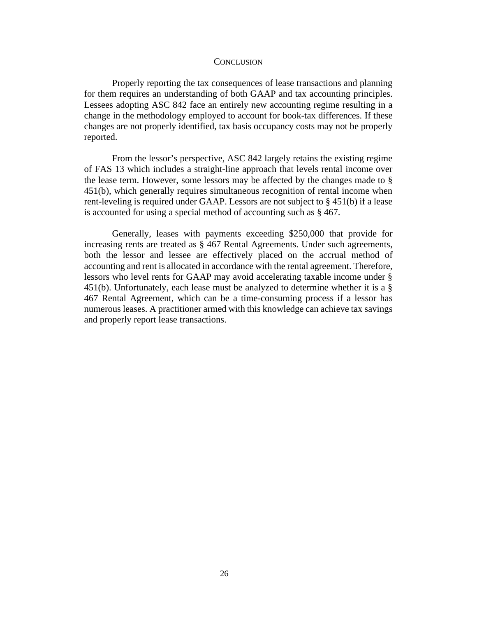#### **CONCLUSION**

Properly reporting the tax consequences of lease transactions and planning for them requires an understanding of both GAAP and tax accounting principles. Lessees adopting ASC 842 face an entirely new accounting regime resulting in a change in the methodology employed to account for book-tax differences. If these changes are not properly identified, tax basis occupancy costs may not be properly reported.

From the lessor's perspective, ASC 842 largely retains the existing regime of FAS 13 which includes a straight-line approach that levels rental income over the lease term. However, some lessors may be affected by the changes made to § 451(b), which generally requires simultaneous recognition of rental income when rent-leveling is required under GAAP. Lessors are not subject to § 451(b) if a lease is accounted for using a special method of accounting such as § 467.

Generally, leases with payments exceeding \$250,000 that provide for increasing rents are treated as § 467 Rental Agreements. Under such agreements, both the lessor and lessee are effectively placed on the accrual method of accounting and rent is allocated in accordance with the rental agreement. Therefore, lessors who level rents for GAAP may avoid accelerating taxable income under § 451(b). Unfortunately, each lease must be analyzed to determine whether it is a § 467 Rental Agreement, which can be a time-consuming process if a lessor has numerous leases. A practitioner armed with this knowledge can achieve tax savings and properly report lease transactions.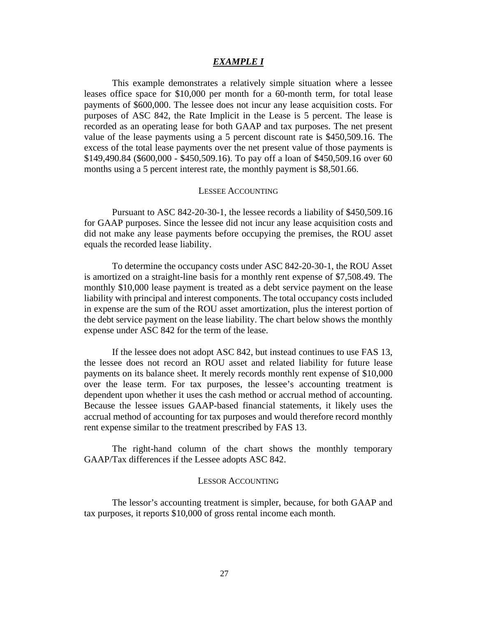#### *EXAMPLE I*

This example demonstrates a relatively simple situation where a lessee leases office space for \$10,000 per month for a 60-month term, for total lease payments of \$600,000. The lessee does not incur any lease acquisition costs. For purposes of ASC 842, the Rate Implicit in the Lease is 5 percent. The lease is recorded as an operating lease for both GAAP and tax purposes. The net present value of the lease payments using a 5 percent discount rate is \$450,509.16. The excess of the total lease payments over the net present value of those payments is \$149,490.84 (\$600,000 - \$450,509.16). To pay off a loan of \$450,509.16 over 60 months using a 5 percent interest rate, the monthly payment is \$8,501.66.

#### LESSEE ACCOUNTING

Pursuant to ASC 842-20-30-1, the lessee records a liability of \$450,509.16 for GAAP purposes. Since the lessee did not incur any lease acquisition costs and did not make any lease payments before occupying the premises, the ROU asset equals the recorded lease liability.

To determine the occupancy costs under ASC 842-20-30-1, the ROU Asset is amortized on a straight-line basis for a monthly rent expense of \$7,508.49. The monthly \$10,000 lease payment is treated as a debt service payment on the lease liability with principal and interest components. The total occupancy costs included in expense are the sum of the ROU asset amortization, plus the interest portion of the debt service payment on the lease liability. The chart below shows the monthly expense under ASC 842 for the term of the lease.

If the lessee does not adopt ASC 842, but instead continues to use FAS 13, the lessee does not record an ROU asset and related liability for future lease payments on its balance sheet. It merely records monthly rent expense of \$10,000 over the lease term. For tax purposes, the lessee's accounting treatment is dependent upon whether it uses the cash method or accrual method of accounting. Because the lessee issues GAAP-based financial statements, it likely uses the accrual method of accounting for tax purposes and would therefore record monthly rent expense similar to the treatment prescribed by FAS 13.

The right-hand column of the chart shows the monthly temporary GAAP/Tax differences if the Lessee adopts ASC 842.

#### LESSOR ACCOUNTING

The lessor's accounting treatment is simpler, because, for both GAAP and tax purposes, it reports \$10,000 of gross rental income each month.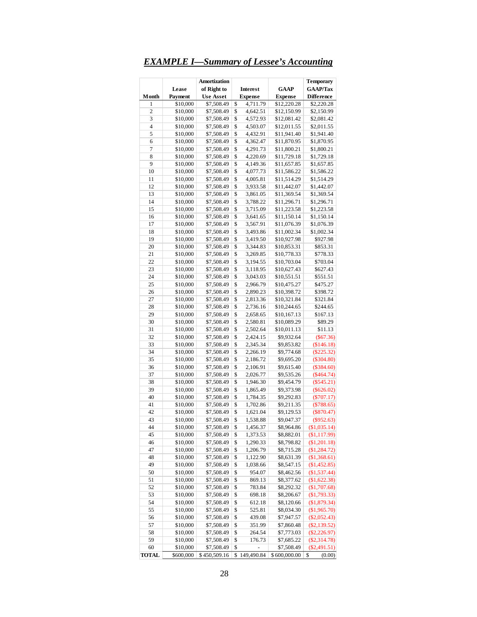## *EXAMPLE I—Summary of Lessee's Accounting*

| Month          | Lease<br>Payment     | Amortization<br>of Right to<br><b>Interest</b><br><b>Use Asset</b><br><b>Expense</b> |          | GAAP<br><b>Expense</b> | <b>Temporary</b><br><b>GAAP/Tax</b><br><b>Difference</b> |                              |
|----------------|----------------------|--------------------------------------------------------------------------------------|----------|------------------------|----------------------------------------------------------|------------------------------|
| 1              | \$10,000             | \$7,508.49                                                                           | \$       | 4,711.79               | \$12,220.28                                              | \$2,220.28                   |
| $\overline{c}$ | \$10,000             | \$7,508.49                                                                           | \$       | 4,642.51               | \$12,150.99                                              | \$2,150.99                   |
| 3              | \$10,000             | \$7,508.49                                                                           | \$       | 4,572.93               | \$12,081.42                                              | \$2,081.42                   |
| $\overline{4}$ | \$10,000             | \$7,508.49                                                                           | \$       | 4,503.07               | \$12,011.55                                              | \$2,011.55                   |
| 5              | \$10,000             | \$7,508.49                                                                           | \$       | 4,432.91               | \$11,941.40                                              | \$1,941.40                   |
| 6              | \$10,000             | \$7,508.49                                                                           | \$       | 4,362.47               | \$11,870.95                                              | \$1,870.95                   |
| 7              | \$10,000             | \$7,508.49                                                                           | \$       | 4,291.73               | \$11,800.21                                              | \$1,800.21                   |
| 8              | \$10,000             | \$7,508.49                                                                           | \$       | 4,220.69               | \$11,729.18                                              | \$1,729.18                   |
| 9              | \$10,000             | \$7,508.49                                                                           | \$       | 4,149.36               | \$11,657.85                                              | \$1,657.85                   |
| 10             | \$10,000             | \$7,508.49                                                                           | \$       | 4,077.73               | \$11,586.22                                              | \$1,586.22                   |
| 11             | \$10,000             | \$7,508.49                                                                           | \$       | 4,005.81               | \$11,514.29                                              | \$1,514.29                   |
| 12             | \$10,000             | \$7,508.49                                                                           | \$       | 3,933.58               | \$11,442.07                                              | \$1,442.07                   |
| 13             | \$10,000             | \$7,508.49                                                                           | \$       | 3,861.05               | \$11,369.54                                              | \$1,369.54                   |
| 14             | \$10,000             | \$7,508.49                                                                           | \$       | 3,788.22               | \$11,296.71                                              | \$1,296.71                   |
| 15             | \$10,000             | \$7,508.49                                                                           | \$       | 3,715.09               | \$11,223.58                                              | \$1,223.58                   |
| 16             | \$10,000             | \$7,508.49                                                                           | \$       | 3,641.65               | \$11,150.14                                              | \$1,150.14                   |
| 17             | \$10,000             | \$7,508.49                                                                           | \$       | 3,567.91               | \$11,076.39                                              | \$1,076.39                   |
| 18             | \$10,000             | \$7,508.49                                                                           | \$       | 3,493.86               | \$11,002.34                                              | \$1,002.34                   |
| 19             | \$10,000             | \$7,508.49                                                                           | \$       | 3,419.50               | \$10,927.98                                              | \$927.98                     |
| 20             | \$10,000             | \$7,508.49                                                                           | \$       | 3,344.83               | \$10,853.31                                              | \$853.31                     |
| 21             | \$10,000             | \$7,508.49                                                                           | \$       | 3,269.85               | \$10,778.33                                              | \$778.33                     |
| 22             | \$10,000             | \$7,508.49                                                                           | \$       | 3,194.55               | \$10,703.04                                              | \$703.04                     |
| 23             | \$10,000             | \$7,508.49                                                                           | \$       | 3,118.95               | \$10,627.43                                              | \$627.43                     |
| 24             | \$10,000             | \$7,508.49                                                                           | \$       | 3,043.03               | \$10,551.51                                              | \$551.51                     |
| 25             | \$10,000             | \$7,508.49                                                                           | \$       | 2,966.79               | \$10,475.27                                              | \$475.27                     |
| 26             | \$10,000             | \$7,508.49                                                                           | \$       | 2,890.23               | \$10,398.72                                              | \$398.72                     |
| 27             | \$10,000             | \$7,508.49                                                                           | \$       | 2,813.36               | \$10,321.84                                              | \$321.84                     |
| 28             | \$10,000             | \$7,508.49                                                                           | \$       | 2,736.16               | \$10,244.65                                              | \$244.65                     |
| 29             | \$10,000             | \$7,508.49                                                                           | \$       | 2,658.65               | \$10,167.13                                              | \$167.13                     |
| 30             | \$10,000             | \$7,508.49                                                                           | \$       | 2,580.81               | \$10,089.29                                              | \$89.29                      |
| 31             | \$10,000             | \$7,508.49                                                                           | \$       | 2,502.64               | \$10,011.13                                              | \$11.13                      |
| 32             | \$10,000             | \$7,508.49                                                                           | \$       | 2,424.15               | \$9,932.64                                               | $(\$67.36)$                  |
| 33             | \$10,000             | \$7,508.49                                                                           | \$       | 2,345.34               | \$9,853.82                                               | (\$146.18)                   |
| 34             | \$10,000             | \$7,508.49                                                                           | \$       | 2,266.19               | \$9,774.68                                               | $(\$225.32)$                 |
| 35             | \$10,000             | \$7,508.49                                                                           | \$       | 2,186.72               | \$9,695.20                                               | $(\$304.80)$                 |
| 36             | \$10,000             | \$7,508.49                                                                           | \$       | 2,106.91               | \$9,615.40                                               | $(\$384.60)$                 |
| 37             | \$10,000             | \$7,508.49                                                                           | \$       | 2,026.77               | \$9,535.26                                               | $(\$464.74)$                 |
| 38             | \$10,000             | \$7,508.49                                                                           | \$       | 1,946.30               | \$9,454.79                                               | $(\$545.21)$                 |
| 39             | \$10,000             | \$7,508.49                                                                           | \$       | 1,865.49               | \$9,373.98                                               |                              |
| 40             | \$10,000             |                                                                                      | \$       | 1,784.35               |                                                          | $(\$626.02)$                 |
| 41             | \$10,000             | \$7,508.49<br>\$7,508.49                                                             | \$       | 1,702.86               | \$9,292.83<br>\$9,211.35                                 | $(\$707.17)$<br>(\$788.65)   |
| 42             | \$10,000             | \$7,508.49                                                                           | \$       | 1,621.04               | \$9,129.53                                               | $(\$870.47)$                 |
| 43             |                      | \$7,508.49                                                                           | \$       |                        |                                                          |                              |
| 44             | \$10,000<br>\$10,000 | \$7,508.49                                                                           | \$       | 1,538.88<br>1,456.37   | \$9,047.37<br>\$8,964.86                                 | $(\$952.63)$<br>(\$1,035.14) |
| 45             | \$10,000             | \$7,508.49                                                                           | \$       | 1,373.53               | \$8,882.01                                               | (\$1,117.99)                 |
| 46             | \$10,000             | \$7,508.49                                                                           | \$       | 1,290.33               |                                                          | (\$1,201.18)                 |
| 47             |                      |                                                                                      | \$       |                        | \$8,798.82                                               |                              |
| 48             | \$10,000<br>\$10,000 | \$7,508.49<br>\$7,508.49                                                             | \$       | 1,206.79<br>1,122.90   | \$8,715.28<br>\$8,631.39                                 | (\$1,284.72)<br>(\$1,368.61) |
|                |                      |                                                                                      |          |                        |                                                          |                              |
| 49             | \$10,000             | \$7,508.49                                                                           | \$       | 1,038.66<br>954.07     | \$8,547.15<br>\$8,462.56                                 | (\$1,452.85)                 |
| 50<br>51       | \$10,000             | \$7,508.49                                                                           | \$<br>\$ |                        |                                                          | (\$1,537.44)                 |
|                | \$10,000             | \$7,508.49                                                                           | \$       | 869.13                 | \$8,377.62<br>\$8,292.32                                 | (\$1,622.38)                 |
| 52             | \$10,000             | \$7,508.49                                                                           |          | 783.84                 |                                                          | (\$1,707.68)                 |
| 53             | \$10,000             | \$7,508.49                                                                           | \$       | 698.18                 | \$8,206.67                                               | (\$1,793.33)                 |
| 54             | \$10,000             | \$7,508.49                                                                           | \$       | 612.18                 | \$8,120.66                                               | (\$1,879.34)                 |
| 55             | \$10,000             | \$7,508.49                                                                           | \$       | 525.81                 | \$8,034.30                                               | (\$1,965.70)                 |
| 56             | \$10,000             | \$7,508.49                                                                           | \$       | 439.08                 | \$7,947.57                                               | $(\$2,052.43)$               |
| 57             | \$10,000             | \$7,508.49                                                                           | \$       | 351.99                 | \$7,860.48                                               | $(\$2,139.52)$               |
| 58             | \$10,000             | \$7,508.49                                                                           | \$       | 264.54                 | \$7,773.03                                               | $(\$2,226.97)$               |
| 59             | \$10,000             | \$7,508.49                                                                           | \$       | 176.73                 | \$7,685.22                                               | $(\$2,314.78)$               |
| 60             | \$10,000             | \$7,508.49                                                                           | \$       |                        | \$7,508.49                                               | $(\$2,491.51)$               |
| <b>TOTAL</b>   | \$600,000            | \$450,509.16                                                                         | \$       | 149,490.84             | \$600,000.00                                             | \$<br>(0.00)                 |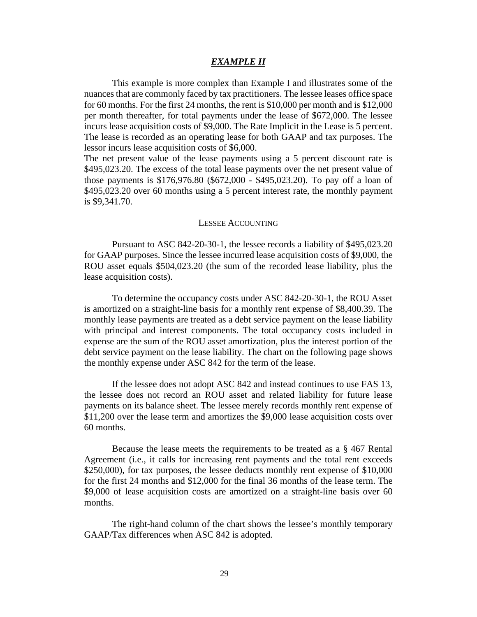### *EXAMPLE II*

This example is more complex than Example I and illustrates some of the nuances that are commonly faced by tax practitioners. The lessee leases office space for 60 months. For the first 24 months, the rent is \$10,000 per month and is \$12,000 per month thereafter, for total payments under the lease of \$672,000. The lessee incurs lease acquisition costs of \$9,000. The Rate Implicit in the Lease is 5 percent. The lease is recorded as an operating lease for both GAAP and tax purposes. The lessor incurs lease acquisition costs of \$6,000.

The net present value of the lease payments using a 5 percent discount rate is \$495,023.20. The excess of the total lease payments over the net present value of those payments is \$176,976.80 (\$672,000 - \$495,023.20). To pay off a loan of \$495,023.20 over 60 months using a 5 percent interest rate, the monthly payment is \$9,341.70.

#### LESSEE ACCOUNTING

Pursuant to ASC 842-20-30-1, the lessee records a liability of \$495,023.20 for GAAP purposes. Since the lessee incurred lease acquisition costs of \$9,000, the ROU asset equals \$504,023.20 (the sum of the recorded lease liability, plus the lease acquisition costs).

To determine the occupancy costs under ASC 842-20-30-1, the ROU Asset is amortized on a straight-line basis for a monthly rent expense of \$8,400.39. The monthly lease payments are treated as a debt service payment on the lease liability with principal and interest components. The total occupancy costs included in expense are the sum of the ROU asset amortization, plus the interest portion of the debt service payment on the lease liability. The chart on the following page shows the monthly expense under ASC 842 for the term of the lease.

If the lessee does not adopt ASC 842 and instead continues to use FAS 13, the lessee does not record an ROU asset and related liability for future lease payments on its balance sheet. The lessee merely records monthly rent expense of \$11,200 over the lease term and amortizes the \$9,000 lease acquisition costs over 60 months.

Because the lease meets the requirements to be treated as a § 467 Rental Agreement (i.e., it calls for increasing rent payments and the total rent exceeds \$250,000), for tax purposes, the lessee deducts monthly rent expense of \$10,000 for the first 24 months and \$12,000 for the final 36 months of the lease term. The \$9,000 of lease acquisition costs are amortized on a straight-line basis over 60 months.

The right-hand column of the chart shows the lessee's monthly temporary GAAP/Tax differences when ASC 842 is adopted.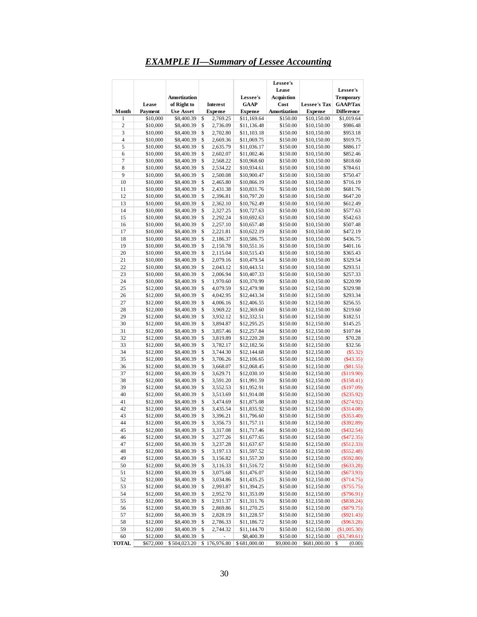## *EXAMPLE II—Summary of Lessee Accounting*

|                | Lease                | Amortization<br>of Right to |          | <b>Interest</b>      | Lessee's<br><b>GAAP</b>    | Lessee's<br>Lease<br><b>Acquistion</b><br>Cost | <b>Lessee's Tax</b>        | Lessee's<br><b>Temporary</b><br><b>GAAP/Tax</b> |
|----------------|----------------------|-----------------------------|----------|----------------------|----------------------------|------------------------------------------------|----------------------------|-------------------------------------------------|
| Month          | Payment              | <b>Use Asset</b>            |          | <b>Expense</b>       | <b>Expense</b>             | <b>Amortization</b>                            | <b>Expense</b>             | <b>Difference</b>                               |
| $\mathbf{1}$   | \$10,000             | \$8,400.39                  | \$       | 2,769.25             | \$11,169.64                | \$150.00                                       | \$10,150.00                | \$1,019.64                                      |
| $\overline{c}$ | \$10,000             | \$8,400.39                  | \$       | 2,736.09             | \$11,136.48                | \$150.00                                       | \$10,150.00                | \$986.48                                        |
| 3              | \$10,000             | \$8,400.39                  | \$       | 2,702.80             | \$11,103.18                | \$150.00                                       | \$10,150.00                | \$953.18                                        |
| 4              | \$10,000             | \$8,400.39                  | \$       | 2,669.36             | \$11,069.75                | \$150.00                                       | \$10,150.00                | \$919.75                                        |
| 5              | \$10,000             | \$8,400.39                  | \$       | 2,635.79             | \$11,036.17                | \$150.00                                       | \$10,150.00                | \$886.17                                        |
| 6<br>7         | \$10,000             | \$8,400.39                  | \$<br>\$ | 2,602.07             | \$11,002.46                | \$150.00                                       | \$10,150.00                | \$852.46                                        |
| 8              | \$10,000<br>\$10,000 | \$8,400.39<br>\$8,400.39    | \$       | 2,568.22<br>2,534.22 | \$10,968.60<br>\$10,934.61 | \$150.00<br>\$150.00                           | \$10,150.00<br>\$10,150.00 | \$818.60<br>\$784.61                            |
| 9              | \$10,000             | \$8,400.39                  | \$       | 2,500.08             | \$10,900.47                | \$150.00                                       | \$10,150.00                | \$750.47                                        |
| 10             | \$10,000             | \$8,400.39                  | \$       | 2,465.80             | \$10,866.19                | \$150.00                                       | \$10,150.00                | \$716.19                                        |
| 11             | \$10,000             | \$8,400.39                  | \$       | 2,431.38             | \$10,831.76                | \$150.00                                       | \$10,150.00                | \$681.76                                        |
| 12             | \$10,000             | \$8,400.39                  | \$       | 2,396.81             | \$10,797.20                | \$150.00                                       | \$10,150.00                | \$647.20                                        |
| 13             | \$10,000             | \$8,400.39                  | \$       | 2,362.10             | \$10,762.49                | \$150.00                                       | \$10,150.00                | \$612.49                                        |
| 14             | \$10,000             | \$8,400.39                  | \$       | 2,327.25             | \$10,727.63                | \$150.00                                       | \$10,150.00                | \$577.63                                        |
| 15             | \$10,000             | \$8,400.39                  | \$       | 2,292.24             | \$10,692.63                | \$150.00                                       | \$10,150.00                | \$542.63                                        |
| 16             | \$10,000             | \$8,400.39                  | \$       | 2,257.10             | \$10,657.48                | \$150.00                                       | \$10,150.00                | \$507.48                                        |
| 17             | \$10,000             | \$8,400.39                  | \$       | 2,221.81             | \$10,622.19                | \$150.00                                       | \$10,150.00                | \$472.19                                        |
| 18             | \$10,000             | \$8,400.39                  | \$       | 2,186.37             | \$10,586.75                | \$150.00                                       | \$10,150.00                | \$436.75                                        |
| 19<br>20       | \$10,000<br>\$10,000 | \$8,400.39<br>\$8,400.39    | \$<br>\$ | 2,150.78<br>2,115.04 | \$10,551.16<br>\$10,515.43 | \$150.00<br>\$150.00                           | \$10,150.00<br>\$10,150.00 | \$401.16<br>\$365.43                            |
| 21             | \$10,000             | \$8,400.39                  | \$       | 2,079.16             | \$10,479.54                | \$150.00                                       | \$10,150.00                | \$329.54                                        |
| 22             | \$10,000             | \$8,400.39                  | \$       | 2,043.12             | \$10,443.51                | \$150.00                                       | \$10,150.00                | \$293.51                                        |
| 23             | \$10,000             | \$8,400.39                  | \$       | 2,006.94             | \$10,407.33                | \$150.00                                       | \$10,150.00                | \$257.33                                        |
| 24             | \$10,000             | \$8,400.39                  | \$       | 1,970.60             | \$10,370.99                | \$150.00                                       | \$10,150.00                | \$220.99                                        |
| 25             | \$12,000             | \$8,400.39                  | \$       | 4,079.59             | \$12,479.98                | \$150.00                                       | \$12,150.00                | \$329.98                                        |
| 26             | \$12,000             | \$8,400.39                  | \$       | 4,042.95             | \$12,443.34                | \$150.00                                       | \$12,150.00                | \$293.34                                        |
| 27             | \$12,000             | \$8,400.39                  | \$       | 4,006.16             | \$12,406.55                | \$150.00                                       | \$12,150.00                | \$256.55                                        |
| 28             | \$12,000             | \$8,400.39                  | \$       | 3,969.22             | \$12,369.60                | \$150.00                                       | \$12,150.00                | \$219.60                                        |
| 29             | \$12,000             | \$8,400.39                  | \$       | 3,932.12             | \$12,332.51                | \$150.00                                       | \$12,150.00                | \$182.51                                        |
| 30             | \$12,000             | \$8,400.39                  | \$       | 3,894.87             | \$12,295.25                | \$150.00                                       | \$12,150.00                | \$145.25                                        |
| 31<br>32       | \$12,000             | \$8,400.39                  | \$<br>\$ | 3,857.46             | \$12,257.84                | \$150.00                                       | \$12,150.00                | \$107.84                                        |
| 33             | \$12,000<br>\$12,000 | \$8,400.39<br>\$8,400.39    | \$       | 3,819.89<br>3,782.17 | \$12,220.28<br>\$12,182.56 | \$150.00<br>\$150.00                           | \$12,150.00<br>\$12,150.00 | \$70.28<br>\$32.56                              |
| 34             | \$12,000             | \$8,400.39                  | \$       | 3,744.30             | \$12,144.68                | \$150.00                                       | \$12,150.00                | $(\$5.32)$                                      |
| 35             | \$12,000             | \$8,400.39                  | \$       | 3,706.26             | \$12,106.65                | \$150.00                                       | \$12,150.00                | $(\$43.35)$                                     |
| 36             | \$12,000             | \$8,400.39                  | \$       | 3,668.07             | \$12,068.45                | \$150.00                                       | \$12,150.00                | (\$81.55)                                       |
| 37             | \$12,000             | \$8,400.39                  | \$       | 3,629.71             | \$12,030.10                | \$150.00                                       | \$12,150.00                | \$119.90                                        |
| 38             | \$12,000             | \$8,400.39                  | \$       | 3,591.20             | \$11,991.59                | \$150.00                                       | \$12,150.00                | \$158.41                                        |
| 39             | \$12,000             | \$8,400.39                  | \$       | 3,552.53             | \$11,952.91                | \$150.00                                       | \$12,150.00                | \$197.09                                        |
| 40             | \$12,000             | \$8,400.39                  | \$       | 3,513.69             | \$11,914.08                | \$150.00                                       | \$12,150.00                | $(\$235.92)$                                    |
| 41             | \$12,000             | \$8,400.39                  | \$       | 3,474.69             | \$11,875.08                | \$150.00                                       | \$12,150.00                | (\$274.92)                                      |
| 42<br>43       | \$12,000             | \$8,400.39                  | \$<br>\$ | 3,435.54             | \$11,835.92<br>\$11,796.60 | \$150.00                                       | \$12,150.00                | (\$314.08)                                      |
| 44             | \$12,000<br>\$12,000 | \$8,400.39<br>\$8,400.39    | \$       | 3,396.21<br>3,356.73 | \$11,757.11                | \$150.00<br>\$150.00                           | \$12,150.00<br>\$12,150.00 | $(\$353.40)$<br>$(\$392.89)$                    |
| 45             | \$12,000             | \$8,400.39                  | \$       | 3,317.08             | \$11,717.46                | \$150.00                                       | \$12,150.00                | $(*432.54)$                                     |
| 46             | \$12,000             | \$8,400.39                  | \$       | 3,277.26             | \$11,677.65                | \$150.00                                       | \$12,150.00                | $(*472.35)$                                     |
| 47             | \$12,000             | \$8,400.39                  | \$       | 3,237.28             | \$11,637.67                | \$150.00                                       | \$12,150.00                | (\$512.33)                                      |
| 48             | \$12,000             | \$8,400.39                  | \$       | 3,197.13             | \$11,597.52                | \$150.00                                       | \$12,150.00                | $(\$552.48)$                                    |
| 49             | \$12,000             | \$8,400.39                  | \$       | 3,156.82             | \$11,557.20                | \$150.00                                       | \$12,150.00                | (\$592.80)                                      |
| 50             | \$12,000             | \$8,400.39                  | \$       | 3,116.33             | \$11,516.72                | \$150.00                                       | \$12,150.00                | $(\$633.28)$                                    |
| 51             | \$12,000             | \$8,400.39                  | \$       | 3,075.68             | \$11,476.07                | \$150.00                                       | \$12,150.00                | $(\$673.93)$                                    |
| 52             | \$12,000             | \$8,400.39                  | \$       | 3,034.86             | \$11,435.25                | \$150.00                                       | \$12,150.00                | (\$714.75)                                      |
| 53             | \$12,000             | \$8,400.39                  | \$       | 2,993.87             | \$11,394.25                | \$150.00                                       | \$12,150.00                | (\$755.75)                                      |
| 54             | \$12,000             | \$8,400.39                  | \$       | 2,952.70             | \$11,353.09                | \$150.00                                       | \$12,150.00                | $(*796.91)$                                     |
| 55<br>56       | \$12,000<br>\$12,000 | \$8,400.39<br>\$8,400.39    | \$<br>\$ | 2,911.37<br>2,869.86 | \$11,311.76<br>\$11,270.25 | \$150.00<br>\$150.00                           | \$12,150.00<br>\$12,150.00 | (\$838.24)<br>(\$879.75)                        |
| 57             | \$12,000             | \$8,400.39                  | \$       | 2,828.19             | \$11,228.57                | \$150.00                                       | \$12,150.00                | $(\$921.43)$                                    |
| 58             | \$12,000             | \$8,400.39                  | \$       | 2,786.33             | \$11,186.72                | \$150.00                                       | \$12,150.00                | $(\$963.28)$                                    |
| 59             | \$12,000             | \$8,400.39                  | \$       | 2,744.32             | \$11,144.70                | \$150.00                                       | \$12,150.00                | (\$1,005.30)                                    |
| 60             | \$12,000             | \$8,400.39                  | \$       |                      | \$8,400.39                 | \$150.00                                       | \$12,150.00                | $(\$3,749.61)$                                  |
| <b>TOTAL</b>   | \$672,000            | \$504,023.20                | \$       | 176,976.80           | \$681,000.00               | \$9,000.00                                     | \$681,000.00               | \$<br>(0.00)                                    |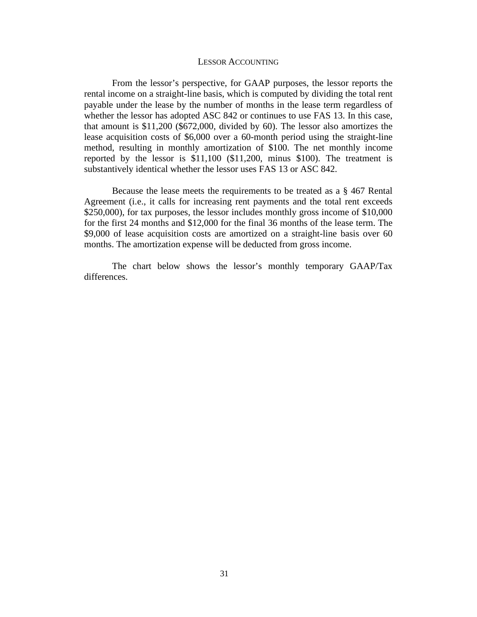#### LESSOR ACCOUNTING

From the lessor's perspective, for GAAP purposes, the lessor reports the rental income on a straight-line basis, which is computed by dividing the total rent payable under the lease by the number of months in the lease term regardless of whether the lessor has adopted ASC 842 or continues to use FAS 13. In this case, that amount is \$11,200 (\$672,000, divided by 60). The lessor also amortizes the lease acquisition costs of \$6,000 over a 60-month period using the straight-line method, resulting in monthly amortization of \$100. The net monthly income reported by the lessor is \$11,100 (\$11,200, minus \$100). The treatment is substantively identical whether the lessor uses FAS 13 or ASC 842.

Because the lease meets the requirements to be treated as a § 467 Rental Agreement (i.e., it calls for increasing rent payments and the total rent exceeds \$250,000), for tax purposes, the lessor includes monthly gross income of \$10,000 for the first 24 months and \$12,000 for the final 36 months of the lease term. The \$9,000 of lease acquisition costs are amortized on a straight-line basis over 60 months. The amortization expense will be deducted from gross income.

The chart below shows the lessor's monthly temporary GAAP/Tax differences.